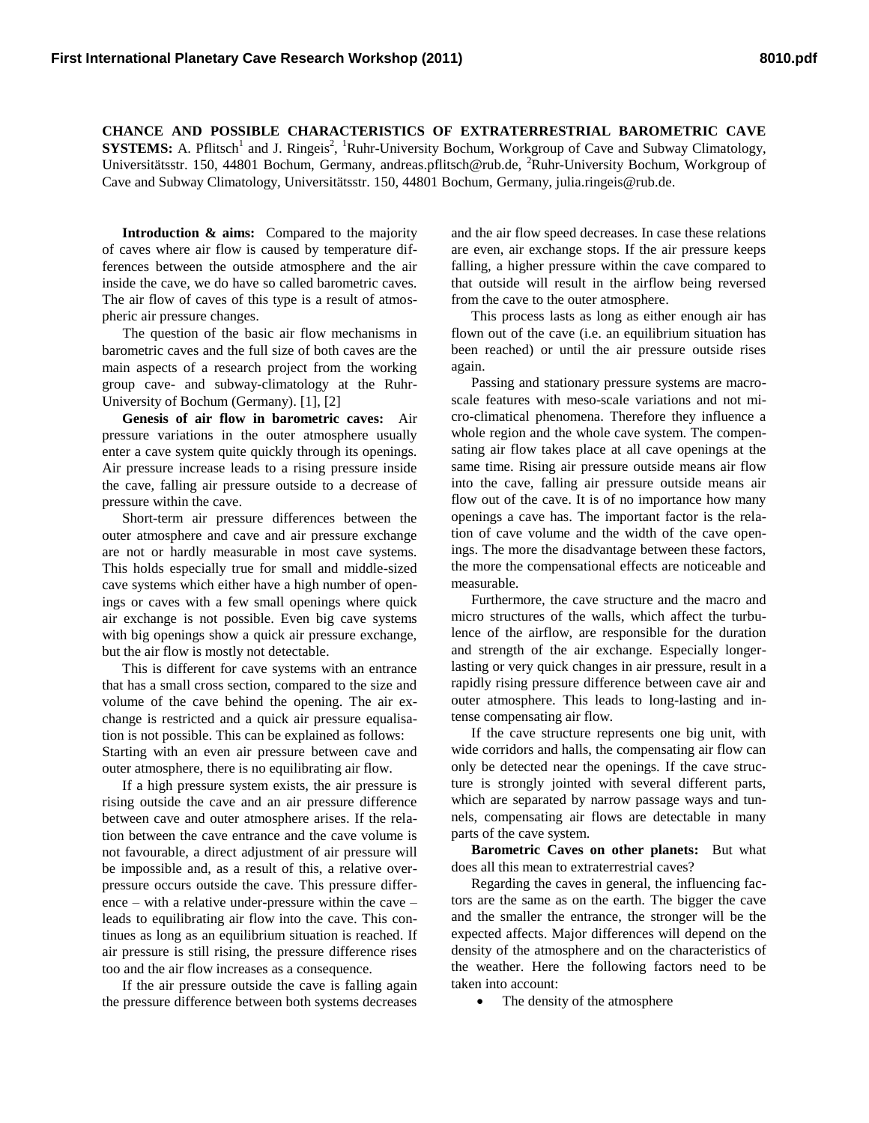**CHANCE AND POSSIBLE CHARACTERISTICS OF EXTRATERRESTRIAL BAROMETRIC CAVE SYSTEMS:** A. Pflitsch<sup>1</sup> and J. Ringeis<sup>2</sup>, <sup>1</sup>Ruhr-University Bochum, Workgroup of Cave and Subway Climatology, Universitätsstr. 150, 44801 Bochum, Germany, andreas.pflitsch@rub.de, <sup>2</sup>Ruhr-University Bochum, Workgroup of Cave and Subway Climatology, Universitätsstr. 150, 44801 Bochum, Germany, julia.ringeis@rub.de.

**Introduction & aims:** Compared to the majority of caves where air flow is caused by temperature differences between the outside atmosphere and the air inside the cave, we do have so called barometric caves. The air flow of caves of this type is a result of atmospheric air pressure changes.

The question of the basic air flow mechanisms in barometric caves and the full size of both caves are the main aspects of a research project from the working group cave- and subway-climatology at the Ruhr-University of Bochum (Germany). [1], [2]

**Genesis of air flow in barometric caves:** Air pressure variations in the outer atmosphere usually enter a cave system quite quickly through its openings. Air pressure increase leads to a rising pressure inside the cave, falling air pressure outside to a decrease of pressure within the cave.

Short-term air pressure differences between the outer atmosphere and cave and air pressure exchange are not or hardly measurable in most cave systems. This holds especially true for small and middle-sized cave systems which either have a high number of openings or caves with a few small openings where quick air exchange is not possible. Even big cave systems with big openings show a quick air pressure exchange, but the air flow is mostly not detectable.

This is different for cave systems with an entrance that has a small cross section, compared to the size and volume of the cave behind the opening. The air exchange is restricted and a quick air pressure equalisation is not possible. This can be explained as follows: Starting with an even air pressure between cave and outer atmosphere, there is no equilibrating air flow.

If a high pressure system exists, the air pressure is rising outside the cave and an air pressure difference between cave and outer atmosphere arises. If the relation between the cave entrance and the cave volume is not favourable, a direct adjustment of air pressure will be impossible and, as a result of this, a relative overpressure occurs outside the cave. This pressure difference – with a relative under-pressure within the cave – leads to equilibrating air flow into the cave. This continues as long as an equilibrium situation is reached. If air pressure is still rising, the pressure difference rises too and the air flow increases as a consequence.

If the air pressure outside the cave is falling again the pressure difference between both systems decreases

and the air flow speed decreases. In case these relations are even, air exchange stops. If the air pressure keeps falling, a higher pressure within the cave compared to that outside will result in the airflow being reversed from the cave to the outer atmosphere.

This process lasts as long as either enough air has flown out of the cave (i.e. an equilibrium situation has been reached) or until the air pressure outside rises again.

Passing and stationary pressure systems are macroscale features with meso-scale variations and not micro-climatical phenomena. Therefore they influence a whole region and the whole cave system. The compensating air flow takes place at all cave openings at the same time. Rising air pressure outside means air flow into the cave, falling air pressure outside means air flow out of the cave. It is of no importance how many openings a cave has. The important factor is the relation of cave volume and the width of the cave openings. The more the disadvantage between these factors, the more the compensational effects are noticeable and measurable.

Furthermore, the cave structure and the macro and micro structures of the walls, which affect the turbulence of the airflow, are responsible for the duration and strength of the air exchange. Especially longerlasting or very quick changes in air pressure, result in a rapidly rising pressure difference between cave air and outer atmosphere. This leads to long-lasting and intense compensating air flow.

If the cave structure represents one big unit, with wide corridors and halls, the compensating air flow can only be detected near the openings. If the cave structure is strongly jointed with several different parts, which are separated by narrow passage ways and tunnels, compensating air flows are detectable in many parts of the cave system.

**Barometric Caves on other planets:** But what does all this mean to extraterrestrial caves?

Regarding the caves in general, the influencing factors are the same as on the earth. The bigger the cave and the smaller the entrance, the stronger will be the expected affects. Major differences will depend on the density of the atmosphere and on the characteristics of the weather. Here the following factors need to be taken into account:

• The density of the atmosphere